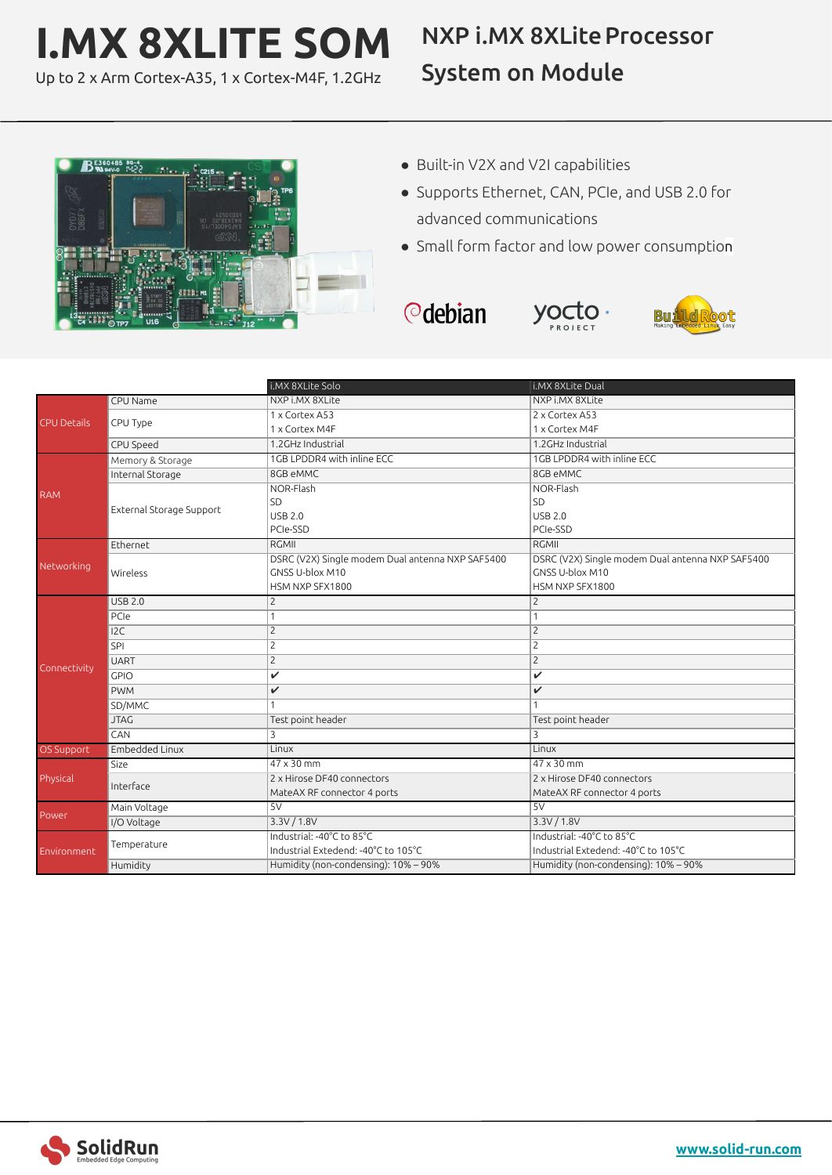## **I.MX 8XLITE SOM**

Up to 2 x Arm Cortex-A35, 1 x Cortex-M4F, 1.2GHz

## **NXP i.MX 8XLite Processor** System on Module



- Built-in V2X and V2I capabilities
- Supports Ethernet, CAN, PCIe, and USB 2.0 for advanced communications
- Small form factor and low power consumption

 $y \circ \sigma$ to.

*<u></u>* debian



|                    |                          | i.MX 8XLite Solo                                 | i.MX 8XLite Dual                                 |
|--------------------|--------------------------|--------------------------------------------------|--------------------------------------------------|
| <b>CPU Details</b> | CPU Name                 | NXP i.MX 8XLite                                  | NXP i.MX 8XLite                                  |
|                    | CPU Type                 | 1 x Cortex A53                                   | 2 x Cortex A53                                   |
|                    |                          | 1 x Cortex M4F                                   | 1 x Cortex M4F                                   |
|                    | CPU Speed                | 1.2GHz Industrial                                | 1.2GHz Industrial                                |
| <b>RAM</b>         | Memory & Storage         | 1GB LPDDR4 with inline ECC                       | 1GB LPDDR4 with inline ECC                       |
|                    | Internal Storage         | 8GB eMMC                                         | 8GB eMMC                                         |
|                    | External Storage Support | NOR-Flash                                        | NOR-Flash                                        |
|                    |                          | SD                                               | SD                                               |
|                    |                          | <b>USB 2.0</b>                                   | <b>USB 2.0</b>                                   |
|                    |                          | PCIe-SSD                                         | PCIe-SSD                                         |
|                    | Ethernet                 | <b>RGMII</b>                                     | <b>RGMII</b>                                     |
| Networking         |                          | DSRC (V2X) Single modem Dual antenna NXP SAF5400 | DSRC (V2X) Single modem Dual antenna NXP SAF5400 |
|                    | Wireless                 | GNSS U-blox M10                                  | GNSS U-blox M10                                  |
|                    |                          | HSM NXP SFX1800                                  | HSM NXP SFX1800                                  |
|                    | <b>USB 2.0</b>           | $\overline{c}$                                   | $\overline{2}$                                   |
|                    | PCIe                     | $\mathbf{1}$                                     | 1                                                |
|                    | 12C                      | $\overline{c}$                                   | $\overline{2}$                                   |
|                    | SPI                      | $\overline{c}$                                   | $\overline{2}$                                   |
| Connectivity       | <b>UART</b>              | $\overline{c}$                                   | $\overline{2}$                                   |
|                    | GPIO                     | $\checkmark$                                     | $\mathbf{v}$                                     |
|                    | <b>PWM</b>               | $\checkmark$                                     | $\checkmark$                                     |
|                    | SD/MMC                   |                                                  |                                                  |
|                    | <b>JTAG</b>              | Test point header                                | Test point header                                |
|                    | CAN                      | 3                                                | 3                                                |
| <b>OS Support</b>  | Embedded Linux           | Linux                                            | Linux                                            |
| Physical           | Size                     | $47 \times 30$ mm                                | $47 \times 30$ mm                                |
|                    | Interface                | 2 x Hirose DF40 connectors                       | 2 x Hirose DF40 connectors                       |
|                    |                          | MateAX RF connector 4 ports                      | MateAX RF connector 4 ports                      |
| Power              | Main Voltage             | 5V                                               | 5V                                               |
|                    | I/O Voltage              | 3.3V / 1.8V                                      | 3.3V / 1.8V                                      |
| Environment        | Temperature              | Industrial: -40°C to 85°C                        | Industrial: -40°C to 85°C                        |
|                    |                          | Industrial Extedend: -40°C to 105°C              | Industrial Extedend: -40°C to 105°C              |
|                    | Humidity                 | Humidity (non-condensing): 10% - 90%             | Humidity (non-condensing): 10% - 90%             |